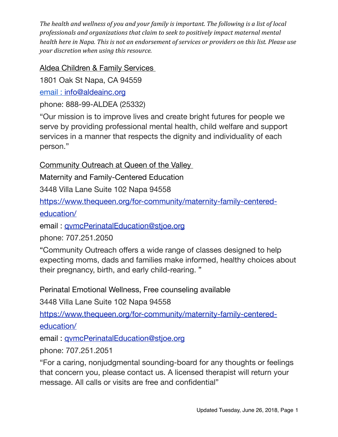## Aldea Children & Family Services

1801 Oak St Napa, CA 94559

email : [info@aldeainc.org](mailto:info@aldeainc.org)

phone: 888-99-ALDEA (25332)

"Our mission is to improve lives and create bright futures for people we serve by providing professional mental health, child welfare and support services in a manner that respects the dignity and individuality of each person."

Community Outreach at Queen of the Valley

Maternity and Family-Centered Education

3448 Villa Lane Suite 102 Napa 94558

[https://www.thequeen.org/for-community/maternity-family-centered-](https://www.thequeen.org/for-community/maternity-family-centered-education/)

[education/](https://www.thequeen.org/for-community/maternity-family-centered-education/)

email : [qvmcPerinatalEducation@stjoe.org](mailto:qvmcPerinatalEducation@stjoe.org)

phone: 707.251.2050

"Community Outreach offers a wide range of classes designed to help expecting moms, dads and families make informed, healthy choices about their pregnancy, birth, and early child-rearing. "

Perinatal Emotional Wellness, Free counseling available

3448 Villa Lane Suite 102 Napa 94558

[https://www.thequeen.org/for-community/maternity-family-centered-](https://www.thequeen.org/for-community/maternity-family-centered-education/)

[education/](https://www.thequeen.org/for-community/maternity-family-centered-education/)

email : [qvmcPerinatalEducation@stjoe.org](mailto:qvmcPerinatalEducation@stjoe.org)

phone: 707.251.2051

"For a caring, nonjudgmental sounding-board for any thoughts or feelings that concern you, please contact us. A licensed therapist will return your message. All calls or visits are free and confidential"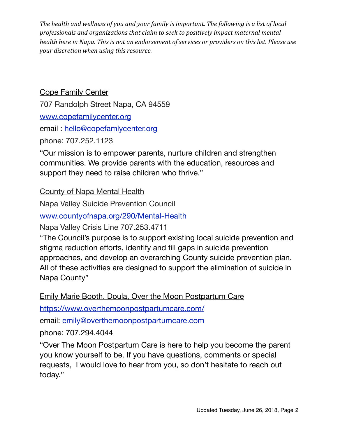Cope Family Center 707 Randolph Street Napa, CA 94559 [www.copefamilycenter.org](http://www.copefamilycenter.org/) email : [hello@copefamlycenter.org](mailto:hello@copefamlycenter.org)

phone: 707.252.1123

"Our mission is to empower parents, nurture children and strengthen communities. We provide parents with the education, resources and support they need to raise children who thrive."

County of Napa Mental Health

Napa Valley Suicide Prevention Council

[www.countyofnapa.org/290/Mental-Health](https://www.countyofnapa.org/290/Mental-Health)

Napa Valley Crisis Line 707.253.4711

"The Council's purpose is to support existing local suicide prevention and stigma reduction efforts, identify and fill gaps in suicide prevention approaches, and develop an overarching County suicide prevention plan. All of these activities are designed to support the elimination of suicide in Napa County"

Emily Marie Booth, Doula, Over the Moon Postpartum Care

<https://www.overthemoonpostpartumcare.com/>

email: [emily@overthemoonpostpartumcare.com](mailto:emily@overthemoonpostpartumcare.com)

phone: 707.294.4044

"Over The Moon Postpartum Care is here to help you become the parent you know yourself to be. If you have questions, comments or special requests, I would love to hear from you, so don't hesitate to reach out today."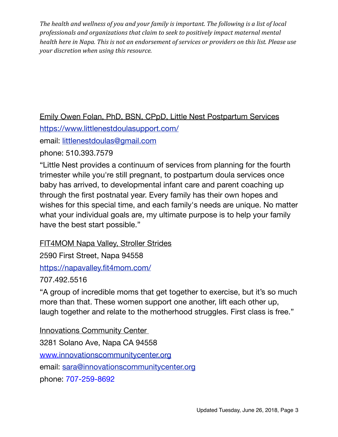Emily Owen Folan, PhD, BSN, CPpD, Little Nest Postpartum Services

<https://www.littlenestdoulasupport.com/>

email: [littlenestdoulas@gmail.com](mailto:littlenestdoulas@gmail.com)

phone: 510.393.7579

"Little Nest provides a continuum of services from planning for the fourth trimester while you're still pregnant, to postpartum doula services once baby has arrived, to developmental infant care and parent coaching up through the first postnatal year. Every family has their own hopes and wishes for this special time, and each family's needs are unique. No matter what your individual goals are, my ultimate purpose is to help your family have the best start possible."

FIT4MOM Napa Valley, Stroller Strides

2590 First Street, Napa 94558

<https://napavalley.fit4mom.com/>

707.492.5516

"A group of incredible moms that get together to exercise, but it's so much more than that. These women support one another, lift each other up, laugh together and relate to the motherhood struggles. First class is free."

**Innovations Community Center** 3281 Solano Ave, Napa CA 94558 www.[innovationscommunitycenter.org](https://nam03.safelinks.protection.outlook.com/?url=http%3A%2F%2Finnovationscommunitycenter.org&data=02%7C01%7Ccrystal_mcauley%40hotmail.com%7C39d0b5db24aa45605efb08d51fbb3dc9%7C84df9e7fe9f640afb435aaaaaaaaaaaa%7C1%7C0%7C636449812306498737&sdata=Ekk3wpbe%2B9zV9KnAYrL08QLqWkMyR42qf5KFwwjKnMg%3D&reserved=0) email: [sara@innovationscommunitycenter.org](mailto:sara@innovationscommunitycenter.org) phone: 707-259-8692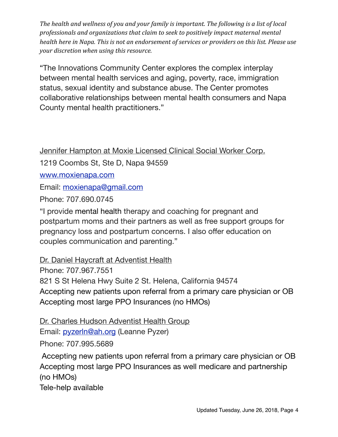"The Innovations Community Center explores the complex interplay between mental health services and aging, poverty, race, immigration status, sexual identity and substance abuse. The Center promotes collaborative relationships between mental health consumers and Napa County mental health practitioners."

Jennifer Hampton at Moxie Licensed Clinical Social Worker Corp.

1219 Coombs St, Ste D, Napa 94559

[www.moxienapa.com](http://www.moxienapa.com/)

Email: [moxienapa@gmail.com](mailto:moxienapa@gmail.com)

Phone: 707.690.0745

"I provide mental health therapy and coaching for pregnant and postpartum moms and their partners as well as free support groups for pregnancy loss and postpartum concerns. I also offer education on couples communication and parenting."

Dr. Daniel Haycraft at Adventist Health

Phone: 707.967.7551

821 S St Helena Hwy Suite 2 St. Helena, California 94574

Accepting new patients upon referral from a primary care physician or OB Accepting most large PPO Insurances (no HMOs)

Dr. Charles Hudson Adventist Health Group Email: [pyzerln@ah.org](mailto:pyzerln@ah.org) (Leanne Pyzer) Phone: 707.995.5689

Accepting new patients upon referral from a primary care physician or OB Accepting most large PPO Insurances as well medicare and partnership (no HMOs)

Tele-help available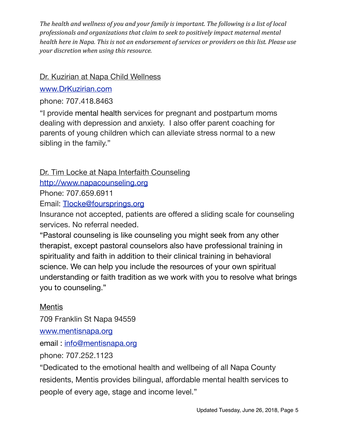## Dr. Kuzirian at Napa Child Wellness

## [www.DrKuzirian.com](https://nam02.safelinks.protection.outlook.com/?url=http%3A%2F%2Fwww.DrKuzirian.com&data=02%7C01%7Ccrystal_mcauley%40hotmail.com%7C1eeb8b3fd2ff4a0ee50d08d4fd2be777%7C84df9e7fe9f640afb435aaaaaaaaaaaa%7C1%7C0%7C636411812385143041&sdata=2GQbf7Y%2FKuwMqruLqOVA43%2FwYAj6JCSRSNFL1%2BMch8U%3D&reserved=0)

phone: 707.418.8463

"I provide mental health services for pregnant and postpartum moms dealing with depression and anxiety. I also offer parent coaching for parents of young children which can alleviate stress normal to a new sibling in the family."

# Dr. Tim Locke at Napa Interfaith Counseling

[http://www.napacounseling.org](http://www.napacounseling.org/)

Phone: 707.659.6911

Email: [Tlocke@foursprings.org](mailto:Tlocke@foursprings.org)

Insurance not accepted, patients are offered a sliding scale for counseling services. No referral needed.

"Pastoral counseling is like counseling you might seek from any other therapist, except pastoral counselors also have professional training in spirituality and faith in addition to their clinical training in behavioral science. We can help you include the resources of your own spiritual understanding or faith tradition as we work with you to resolve what brings you to counseling."

# **Mentis**

709 Franklin St Napa 94559

[www.mentisnapa.org](http://www.copefamilycenter.org/)

email : [info@mentisnapa.org](mailto:infor@mentisnapa.org)

phone: 707.252.1123

"Dedicated to the emotional health and wellbeing of all Napa County residents, Mentis provides bilingual, affordable mental health services to people of every age, stage and income level."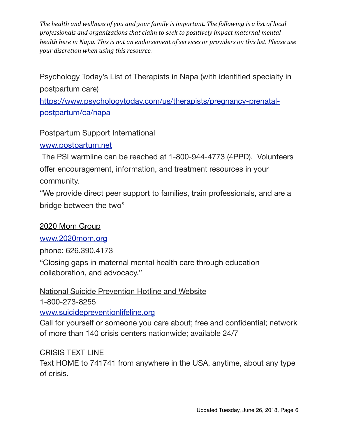# Psychology Today's List of Therapists in Napa (with identified specialty in postpartum care)

[https://www.psychologytoday.com/us/therapists/pregnancy-prenatal](https://www.psychologytoday.com/us/therapists/pregnancy-prenatal-postpartum/ca/napa)[postpartum/ca/napa](https://www.psychologytoday.com/us/therapists/pregnancy-prenatal-postpartum/ca/napa)

## Postpartum Support International

### [www.postpartum.net](http://www.postpartum.net/)

 The PSI warmline can be reached at 1-800-944-4773 (4PPD). Volunteers offer encouragement, information, and treatment resources in your community.

"We provide direct peer support to families, train professionals, and are a bridge between the two"

### 2020 Mom Group

[www.2020mom.org](http://www.2020mom.org)

phone: 626.390.4173

"Closing gaps in maternal mental health care through education collaboration, and advocacy."

# National Suicide Prevention Hotline and Website

1-800-273-8255

[www.suicidepreventionlifeline.org](http://www.suicidepreventionlifeline.org/)

Call for yourself or someone you care about; free and confidential; network of more than 140 crisis centers nationwide; available 24/7

### CRISIS TEXT LINE

Text HOME to 741741 from anywhere in the USA, anytime, about any type of crisis.